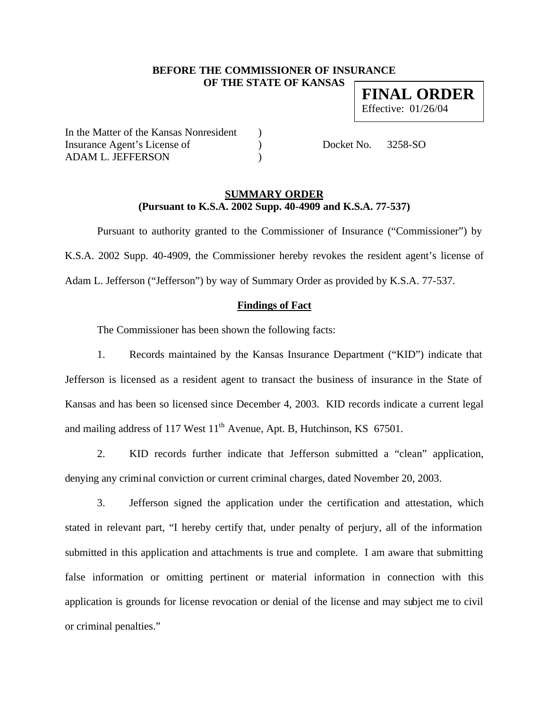# **BEFORE THE COMMISSIONER OF INSURANCE OF THE STATE OF KANSAS**

**FINAL ORDER** Effective: 01/26/04

In the Matter of the Kansas Nonresident ) Insurance Agent's License of (a) Docket No. 3258-SO ADAM L. JEFFERSON (1999)

## **SUMMARY ORDER (Pursuant to K.S.A. 2002 Supp. 40-4909 and K.S.A. 77-537)**

Pursuant to authority granted to the Commissioner of Insurance ("Commissioner") by K.S.A. 2002 Supp. 40-4909, the Commissioner hereby revokes the resident agent's license of Adam L. Jefferson ("Jefferson") by way of Summary Order as provided by K.S.A. 77-537.

# **Findings of Fact**

The Commissioner has been shown the following facts:

1. Records maintained by the Kansas Insurance Department ("KID") indicate that Jefferson is licensed as a resident agent to transact the business of insurance in the State of Kansas and has been so licensed since December 4, 2003. KID records indicate a current legal and mailing address of 117 West  $11<sup>th</sup>$  Avenue, Apt. B, Hutchinson, KS 67501.

2. KID records further indicate that Jefferson submitted a "clean" application, denying any criminal conviction or current criminal charges, dated November 20, 2003.

3. Jefferson signed the application under the certification and attestation, which stated in relevant part, "I hereby certify that, under penalty of perjury, all of the information submitted in this application and attachments is true and complete. I am aware that submitting false information or omitting pertinent or material information in connection with this application is grounds for license revocation or denial of the license and may subject me to civil or criminal penalties."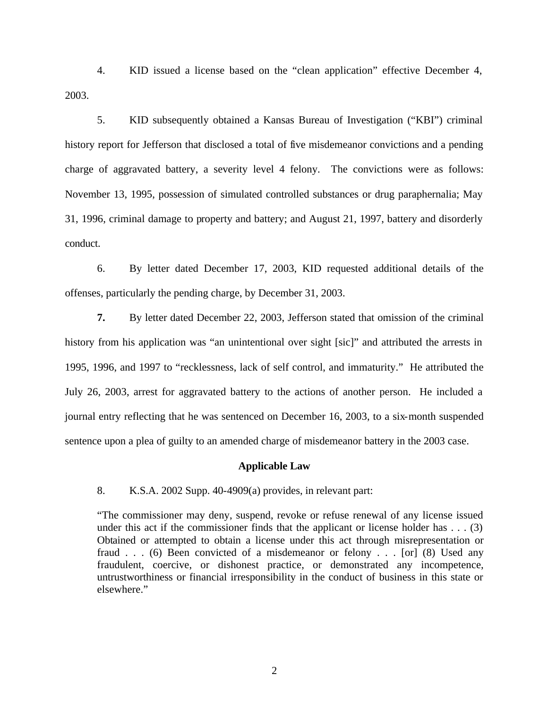4. KID issued a license based on the "clean application" effective December 4, 2003.

5. KID subsequently obtained a Kansas Bureau of Investigation ("KBI") criminal history report for Jefferson that disclosed a total of five misdemeanor convictions and a pending charge of aggravated battery, a severity level 4 felony. The convictions were as follows: November 13, 1995, possession of simulated controlled substances or drug paraphernalia; May 31, 1996, criminal damage to property and battery; and August 21, 1997, battery and disorderly conduct.

6. By letter dated December 17, 2003, KID requested additional details of the offenses, particularly the pending charge, by December 31, 2003.

**7.** By letter dated December 22, 2003, Jefferson stated that omission of the criminal history from his application was "an unintentional over sight [sic]" and attributed the arrests in 1995, 1996, and 1997 to "recklessness, lack of self control, and immaturity." He attributed the July 26, 2003, arrest for aggravated battery to the actions of another person. He included a journal entry reflecting that he was sentenced on December 16, 2003, to a six-month suspended sentence upon a plea of guilty to an amended charge of misdemeanor battery in the 2003 case.

#### **Applicable Law**

8. K.S.A. 2002 Supp. 40-4909(a) provides, in relevant part:

"The commissioner may deny, suspend, revoke or refuse renewal of any license issued under this act if the commissioner finds that the applicant or license holder has . . . (3) Obtained or attempted to obtain a license under this act through misrepresentation or fraud . . . (6) Been convicted of a misdemeanor or felony . . . [or] (8) Used any fraudulent, coercive, or dishonest practice, or demonstrated any incompetence, untrustworthiness or financial irresponsibility in the conduct of business in this state or elsewhere."

2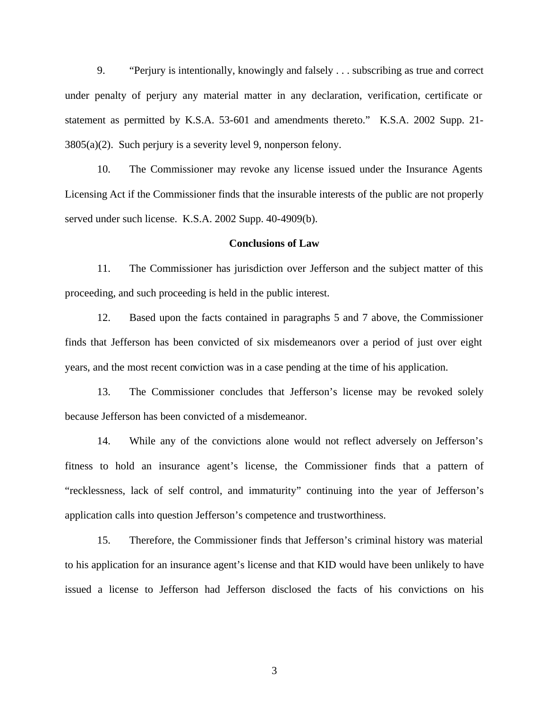9. "Perjury is intentionally, knowingly and falsely . . . subscribing as true and correct under penalty of perjury any material matter in any declaration, verification, certificate or statement as permitted by K.S.A. 53-601 and amendments thereto." K.S.A. 2002 Supp. 21-  $3805(a)(2)$ . Such perjury is a severity level 9, nonperson felony.

10. The Commissioner may revoke any license issued under the Insurance Agents Licensing Act if the Commissioner finds that the insurable interests of the public are not properly served under such license. K.S.A. 2002 Supp. 40-4909(b).

#### **Conclusions of Law**

11. The Commissioner has jurisdiction over Jefferson and the subject matter of this proceeding, and such proceeding is held in the public interest.

12. Based upon the facts contained in paragraphs 5 and 7 above, the Commissioner finds that Jefferson has been convicted of six misdemeanors over a period of just over eight years, and the most recent conviction was in a case pending at the time of his application.

13. The Commissioner concludes that Jefferson's license may be revoked solely because Jefferson has been convicted of a misdemeanor.

14. While any of the convictions alone would not reflect adversely on Jefferson's fitness to hold an insurance agent's license, the Commissioner finds that a pattern of "recklessness, lack of self control, and immaturity" continuing into the year of Jefferson's application calls into question Jefferson's competence and trustworthiness.

15. Therefore, the Commissioner finds that Jefferson's criminal history was material to his application for an insurance agent's license and that KID would have been unlikely to have issued a license to Jefferson had Jefferson disclosed the facts of his convictions on his

3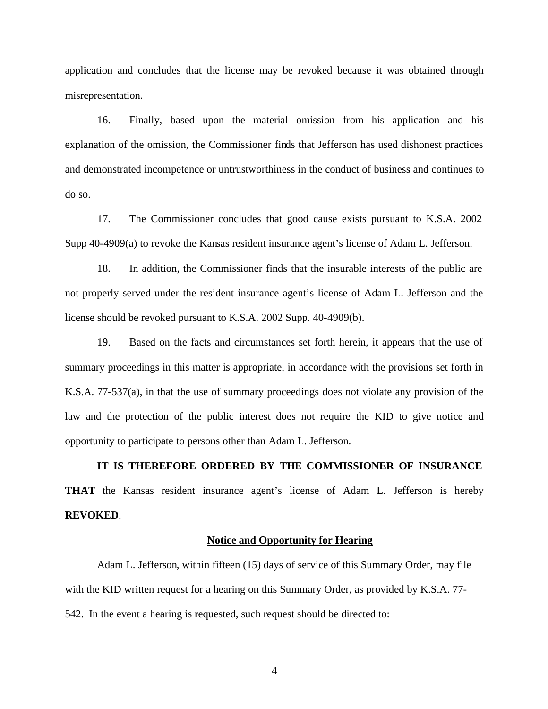application and concludes that the license may be revoked because it was obtained through misrepresentation.

16. Finally, based upon the material omission from his application and his explanation of the omission, the Commissioner finds that Jefferson has used dishonest practices and demonstrated incompetence or untrustworthiness in the conduct of business and continues to do so.

17. The Commissioner concludes that good cause exists pursuant to K.S.A. 2002 Supp 40-4909(a) to revoke the Kansas resident insurance agent's license of Adam L. Jefferson.

18. In addition, the Commissioner finds that the insurable interests of the public are not properly served under the resident insurance agent's license of Adam L. Jefferson and the license should be revoked pursuant to K.S.A. 2002 Supp. 40-4909(b).

19. Based on the facts and circumstances set forth herein, it appears that the use of summary proceedings in this matter is appropriate, in accordance with the provisions set forth in K.S.A. 77-537(a), in that the use of summary proceedings does not violate any provision of the law and the protection of the public interest does not require the KID to give notice and opportunity to participate to persons other than Adam L. Jefferson.

**IT IS THEREFORE ORDERED BY THE COMMISSIONER OF INSURANCE THAT** the Kansas resident insurance agent's license of Adam L. Jefferson is hereby **REVOKED**.

#### **Notice and Opportunity for Hearing**

Adam L. Jefferson, within fifteen (15) days of service of this Summary Order, may file with the KID written request for a hearing on this Summary Order, as provided by K.S.A. 77- 542. In the event a hearing is requested, such request should be directed to:

4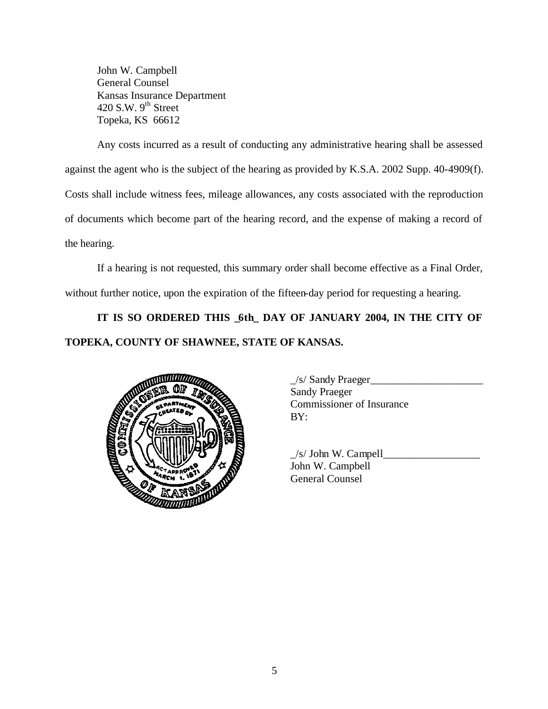John W. Campbell General Counsel Kansas Insurance Department 420 S.W.  $9<sup>th</sup>$  Street Topeka, KS 66612

Any costs incurred as a result of conducting any administrative hearing shall be assessed against the agent who is the subject of the hearing as provided by K.S.A. 2002 Supp. 40-4909(f). Costs shall include witness fees, mileage allowances, any costs associated with the reproduction of documents which become part of the hearing record, and the expense of making a record of the hearing.

If a hearing is not requested, this summary order shall become effective as a Final Order, without further notice, upon the expiration of the fifteen-day period for requesting a hearing.

**IT IS SO ORDERED THIS \_6th\_ DAY OF JANUARY 2004, IN THE CITY OF TOPEKA, COUNTY OF SHAWNEE, STATE OF KANSAS.** 



 $\angle$ s/ Sandy Praeger $\angle$ Sandy Praeger Commissioner of Insurance BY:

 $/s/$  John W. Campell John W. Campbell General Counsel